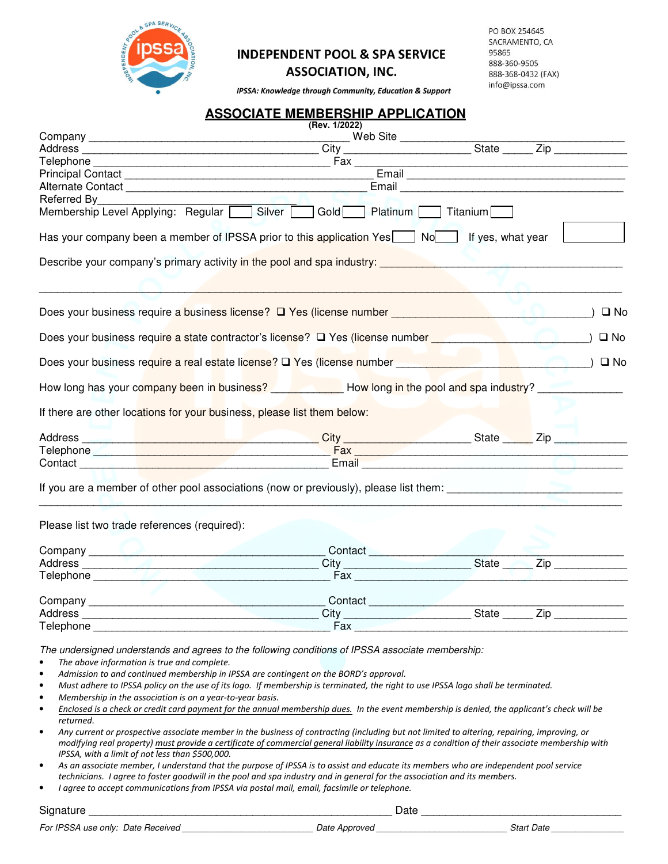

## **INDEPENDENT POOL & SPA SERVICE**

**ASSOCIATION, INC.** 

PO BOX 254645 SACRAMENTO, CA 95865 888-360-9505 888-368-0432 (FAX) info@ipssa.com

IPSSA: Knowledge through Community, Education & Support

## **ASSOCIATE MEMBERSHIP APPLICATION**

| (Rev. 1/2022)                                                                                                                                                                                                                                                                                                                                                                                                                                                                                                                                                                                                                                                                                                                                                                                                                                                                                                                                                                                                                              |  |  |  |               |
|--------------------------------------------------------------------------------------------------------------------------------------------------------------------------------------------------------------------------------------------------------------------------------------------------------------------------------------------------------------------------------------------------------------------------------------------------------------------------------------------------------------------------------------------------------------------------------------------------------------------------------------------------------------------------------------------------------------------------------------------------------------------------------------------------------------------------------------------------------------------------------------------------------------------------------------------------------------------------------------------------------------------------------------------|--|--|--|---------------|
|                                                                                                                                                                                                                                                                                                                                                                                                                                                                                                                                                                                                                                                                                                                                                                                                                                                                                                                                                                                                                                            |  |  |  |               |
|                                                                                                                                                                                                                                                                                                                                                                                                                                                                                                                                                                                                                                                                                                                                                                                                                                                                                                                                                                                                                                            |  |  |  |               |
|                                                                                                                                                                                                                                                                                                                                                                                                                                                                                                                                                                                                                                                                                                                                                                                                                                                                                                                                                                                                                                            |  |  |  |               |
|                                                                                                                                                                                                                                                                                                                                                                                                                                                                                                                                                                                                                                                                                                                                                                                                                                                                                                                                                                                                                                            |  |  |  |               |
| Referred By                                                                                                                                                                                                                                                                                                                                                                                                                                                                                                                                                                                                                                                                                                                                                                                                                                                                                                                                                                                                                                |  |  |  |               |
| Membership Level Applying: Regular Silver   Gold   Platinum   Titanium                                                                                                                                                                                                                                                                                                                                                                                                                                                                                                                                                                                                                                                                                                                                                                                                                                                                                                                                                                     |  |  |  |               |
|                                                                                                                                                                                                                                                                                                                                                                                                                                                                                                                                                                                                                                                                                                                                                                                                                                                                                                                                                                                                                                            |  |  |  |               |
| Has your company been a member of IPSSA prior to this application Yes Now If yes, what year                                                                                                                                                                                                                                                                                                                                                                                                                                                                                                                                                                                                                                                                                                                                                                                                                                                                                                                                                |  |  |  |               |
|                                                                                                                                                                                                                                                                                                                                                                                                                                                                                                                                                                                                                                                                                                                                                                                                                                                                                                                                                                                                                                            |  |  |  |               |
|                                                                                                                                                                                                                                                                                                                                                                                                                                                                                                                                                                                                                                                                                                                                                                                                                                                                                                                                                                                                                                            |  |  |  |               |
| Does your business require a business license? □ Yes (license number __________________                                                                                                                                                                                                                                                                                                                                                                                                                                                                                                                                                                                                                                                                                                                                                                                                                                                                                                                                                    |  |  |  | $\square$ No  |
| Does your business require a state contractor's license? □ Yes (license number ________                                                                                                                                                                                                                                                                                                                                                                                                                                                                                                                                                                                                                                                                                                                                                                                                                                                                                                                                                    |  |  |  | $\square$ No  |
|                                                                                                                                                                                                                                                                                                                                                                                                                                                                                                                                                                                                                                                                                                                                                                                                                                                                                                                                                                                                                                            |  |  |  | $)$ $\Box$ No |
| How long has your company been in business? ______________How long in the pool and spa industry? ______                                                                                                                                                                                                                                                                                                                                                                                                                                                                                                                                                                                                                                                                                                                                                                                                                                                                                                                                    |  |  |  |               |
| If there are other locations for your business, please list them below:                                                                                                                                                                                                                                                                                                                                                                                                                                                                                                                                                                                                                                                                                                                                                                                                                                                                                                                                                                    |  |  |  |               |
|                                                                                                                                                                                                                                                                                                                                                                                                                                                                                                                                                                                                                                                                                                                                                                                                                                                                                                                                                                                                                                            |  |  |  |               |
|                                                                                                                                                                                                                                                                                                                                                                                                                                                                                                                                                                                                                                                                                                                                                                                                                                                                                                                                                                                                                                            |  |  |  |               |
| Contact <b>Executive Contact of Contact Contact Contact Contact Contact Contact Contact Contact Contact Contact Contact Contact Contact Contact Contact Contact Contact Contact Contact Contact Contact Contact Contact Contact </b>                                                                                                                                                                                                                                                                                                                                                                                                                                                                                                                                                                                                                                                                                                                                                                                                       |  |  |  |               |
| Please list two trade references (required):                                                                                                                                                                                                                                                                                                                                                                                                                                                                                                                                                                                                                                                                                                                                                                                                                                                                                                                                                                                               |  |  |  |               |
|                                                                                                                                                                                                                                                                                                                                                                                                                                                                                                                                                                                                                                                                                                                                                                                                                                                                                                                                                                                                                                            |  |  |  |               |
|                                                                                                                                                                                                                                                                                                                                                                                                                                                                                                                                                                                                                                                                                                                                                                                                                                                                                                                                                                                                                                            |  |  |  |               |
|                                                                                                                                                                                                                                                                                                                                                                                                                                                                                                                                                                                                                                                                                                                                                                                                                                                                                                                                                                                                                                            |  |  |  |               |
|                                                                                                                                                                                                                                                                                                                                                                                                                                                                                                                                                                                                                                                                                                                                                                                                                                                                                                                                                                                                                                            |  |  |  |               |
|                                                                                                                                                                                                                                                                                                                                                                                                                                                                                                                                                                                                                                                                                                                                                                                                                                                                                                                                                                                                                                            |  |  |  |               |
| Company<br>Contact<br>City<br>City<br>City<br>City<br>City<br>State<br>City                                                                                                                                                                                                                                                                                                                                                                                                                                                                                                                                                                                                                                                                                                                                                                                                                                                                                                                                                                |  |  |  |               |
|                                                                                                                                                                                                                                                                                                                                                                                                                                                                                                                                                                                                                                                                                                                                                                                                                                                                                                                                                                                                                                            |  |  |  |               |
| The undersigned understands and agrees to the following conditions of IPSSA associate membership:<br>The above information is true and complete.<br>$\bullet$<br>Admission to and continued membership in IPSSA are contingent on the BORD's approval.<br>$\bullet$<br>Must adhere to IPSSA policy on the use of its logo. If membership is terminated, the right to use IPSSA logo shall be terminated.<br>$\bullet$<br>Membership in the association is on a year-to-year basis.<br>$\bullet$<br>Enclosed is a check or credit card payment for the annual membership dues. In the event membership is denied, the applicant's check will be<br>$\bullet$<br>returned.<br>Any current or prospective associate member in the business of contracting (including but not limited to altering, repairing, improving, or<br>$\bullet$<br>modifying real property) must provide a certificate of commercial general liability insurance as a condition of their associate membership with<br>IPSSA, with a limit of not less than \$500,000. |  |  |  |               |
| As an associate member, I understand that the purpose of IPSSA is to assist and educate its members who are independent pool service<br>$\bullet$<br>technicians. I agree to foster goodwill in the pool and spa industry and in general for the association and its members.                                                                                                                                                                                                                                                                                                                                                                                                                                                                                                                                                                                                                                                                                                                                                              |  |  |  |               |

• *I agree to accept communications from IPSSA via postal mail, email, facsimile or telephone.*

Signature \_\_\_\_\_\_\_\_\_\_\_\_\_\_\_\_\_\_\_\_\_\_\_\_\_\_\_\_\_\_\_\_\_\_\_\_\_\_\_\_\_\_\_\_\_\_\_\_\_\_ Date \_\_\_\_\_\_\_\_\_\_\_\_\_\_\_\_\_\_\_\_\_\_\_\_\_\_\_\_\_\_\_\_\_

For IPSSA use only: Date Received \_\_\_\_\_\_\_\_\_\_\_\_\_\_\_\_\_\_\_\_\_\_\_\_\_\_\_\_\_\_\_Date Approved \_\_\_\_\_\_\_\_\_\_\_\_\_\_\_\_\_\_\_\_\_\_\_\_\_\_\_\_\_\_Start Date \_\_\_\_